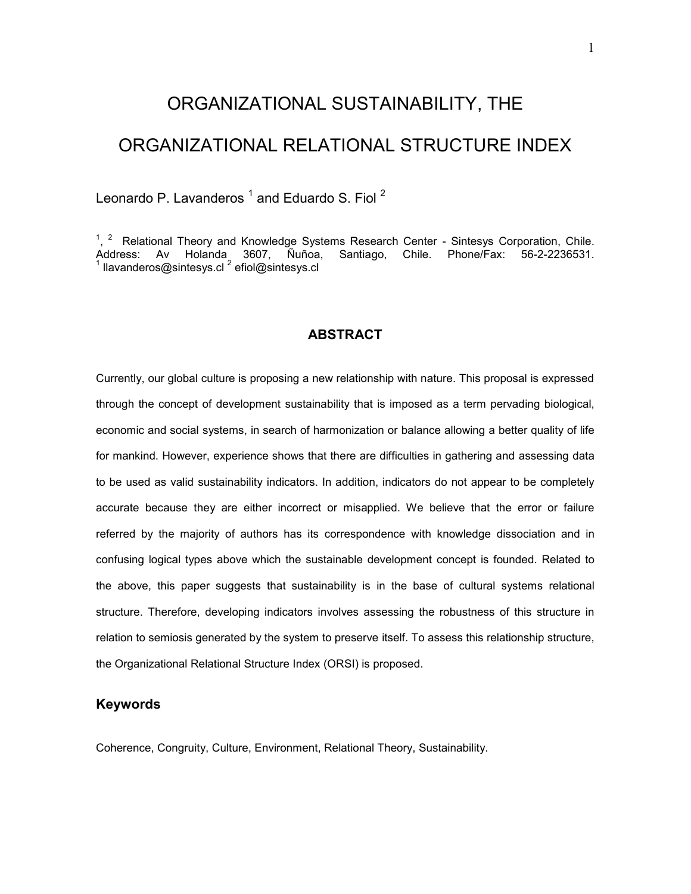# ORGANIZATIONAL SUSTAINABILITY, THE

# ORGANIZATIONAL RELATIONAL STRUCTURE INDEX

Leonardo P. Lavanderos  $^1$  and Eduardo S. Fiol  $^2$ 

 $1, 2$  Relational Theory and Knowledge Systems Research Center - Sintesys Corporation, Chile. Address: Av Holanda 3607, Ñuñoa, Santiago, Chile. Phone/Fax: 56-2-2236531.<br><sup>1</sup> llavanderos@sintesys.cl<sup> 2</sup> efiol@sintesys.cl

## **ABSTRACT**

Currently, our global culture is proposing a new relationship with nature. This proposal is expressed through the concept of development sustainability that is imposed as a term pervading biological, economic and social systems, in search of harmonization or balance allowing a better quality of life for mankind. However, experience shows that there are difficulties in gathering and assessing data to be used as valid sustainability indicators. In addition, indicators do not appear to be completely accurate because they are either incorrect or misapplied. We believe that the error or failure referred by the majority of authors has its correspondence with knowledge dissociation and in confusing logical types above which the sustainable development concept is founded. Related to the above, this paper suggests that sustainability is in the base of cultural systems relational structure. Therefore, developing indicators involves assessing the robustness of this structure in relation to semiosis generated by the system to preserve itself. To assess this relationship structure, the Organizational Relational Structure Index (ORSI) is proposed.

## **Keywords**

Coherence, Congruity, Culture, Environment, Relational Theory, Sustainability.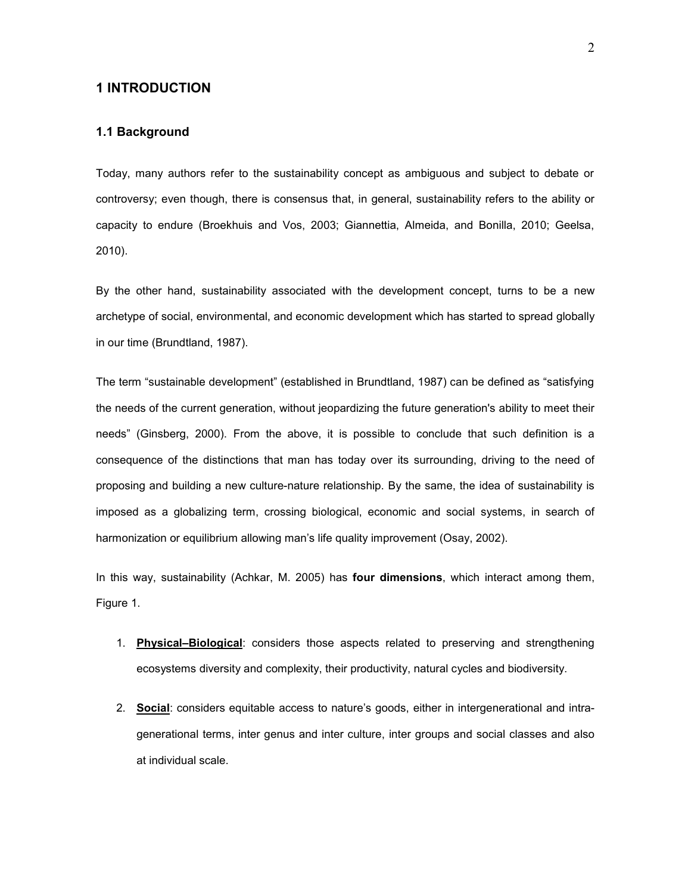#### **1 INTRODUCTION**

#### **1.1 Background**

Today, many authors refer to the sustainability concept as ambiguous and subject to debate or controversy; even though, there is consensus that, in general, sustainability refers to the ability or capacity to endure (Broekhuis and Vos, 2003; Giannettia, Almeida, and Bonilla, 2010; Geelsa, 2010).

By the other hand, sustainability associated with the development concept, turns to be a new archetype of social, environmental, and economic development which has started to spread globally in our time (Brundtland, 1987).

The term "sustainable development" (established in Brundtland, 1987) can be defined as "satisfying the needs of the current generation, without jeopardizing the future generation's ability to meet their needs" (Ginsberg, 2000). From the above, it is possible to conclude that such definition is a consequence of the distinctions that man has today over its surrounding, driving to the need of proposing and building a new culture-nature relationship. By the same, the idea of sustainability is imposed as a globalizing term, crossing biological, economic and social systems, in search of harmonization or equilibrium allowing man's life quality improvement (Osay, 2002).

In this way, sustainability (Achkar, M. 2005) has **four dimensions**, which interact among them, Figure 1.

- 1. **Physical–Biological**: considers those aspects related to preserving and strengthening ecosystems diversity and complexity, their productivity, natural cycles and biodiversity.
- 2. **Social**: considers equitable access to nature's goods, either in intergenerational and intragenerational terms, inter genus and inter culture, inter groups and social classes and also at individual scale.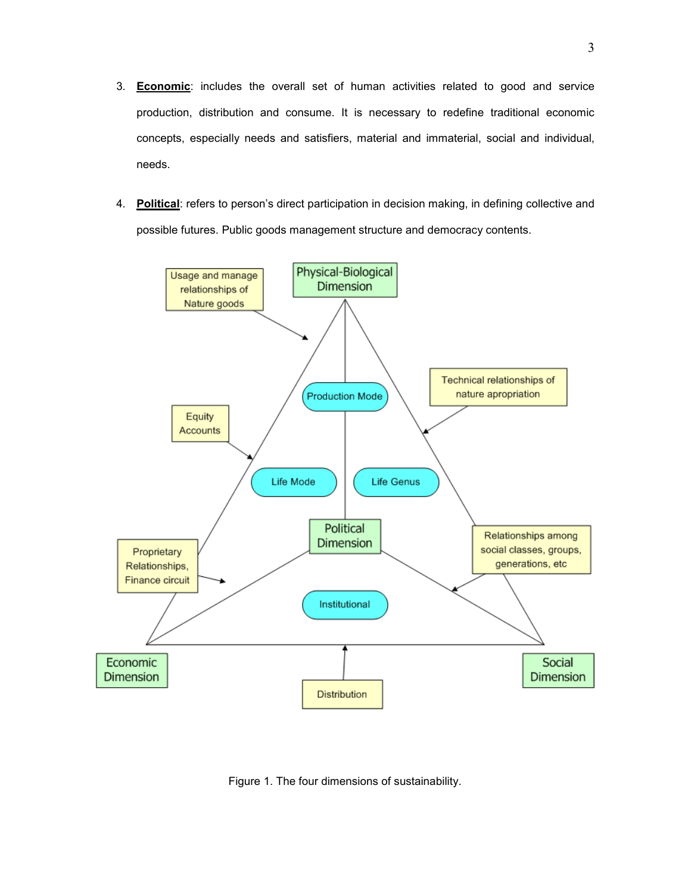- 3. **Economic**: includes the overall set of human activities related to good and service production, distribution and consume. It is necessary to redefine traditional economic concepts, especially needs and satisfiers, material and immaterial, social and individual, needs.
- 4. **Political**: refers to person's direct participation in decision making, in defining collective and possible futures. Public goods management structure and democracy contents.



Figure 1. The four dimensions of sustainability.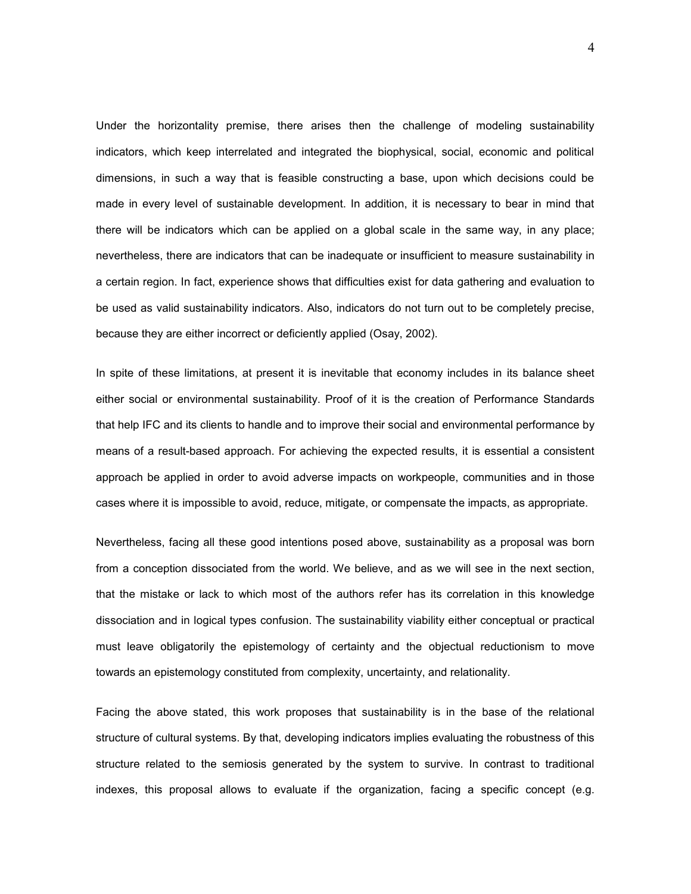Under the horizontality premise, there arises then the challenge of modeling sustainability indicators, which keep interrelated and integrated the biophysical, social, economic and political dimensions, in such a way that is feasible constructing a base, upon which decisions could be made in every level of sustainable development. In addition, it is necessary to bear in mind that there will be indicators which can be applied on a global scale in the same way, in any place; nevertheless, there are indicators that can be inadequate or insufficient to measure sustainability in a certain region. In fact, experience shows that difficulties exist for data gathering and evaluation to be used as valid sustainability indicators. Also, indicators do not turn out to be completely precise, because they are either incorrect or deficiently applied (Osay, 2002).

In spite of these limitations, at present it is inevitable that economy includes in its balance sheet either social or environmental sustainability. Proof of it is the creation of Performance Standards that help IFC and its clients to handle and to improve their social and environmental performance by means of a result-based approach. For achieving the expected results, it is essential a consistent approach be applied in order to avoid adverse impacts on workpeople, communities and in those cases where it is impossible to avoid, reduce, mitigate, or compensate the impacts, as appropriate.

Nevertheless, facing all these good intentions posed above, sustainability as a proposal was born from a conception dissociated from the world. We believe, and as we will see in the next section, that the mistake or lack to which most of the authors refer has its correlation in this knowledge dissociation and in logical types confusion. The sustainability viability either conceptual or practical must leave obligatorily the epistemology of certainty and the objectual reductionism to move towards an epistemology constituted from complexity, uncertainty, and relationality.

Facing the above stated, this work proposes that sustainability is in the base of the relational structure of cultural systems. By that, developing indicators implies evaluating the robustness of this structure related to the semiosis generated by the system to survive. In contrast to traditional indexes, this proposal allows to evaluate if the organization, facing a specific concept (e.g.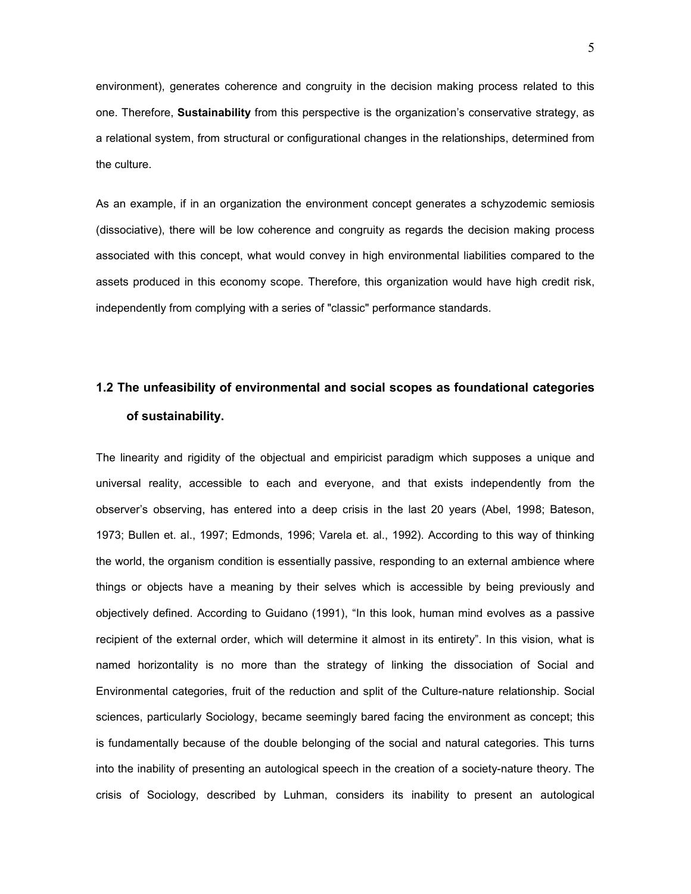environment), generates coherence and congruity in the decision making process related to this one. Therefore, **Sustainability** from this perspective is the organization's conservative strategy, as a relational system, from structural or configurational changes in the relationships, determined from the culture.

As an example, if in an organization the environment concept generates a schyzodemic semiosis (dissociative), there will be low coherence and congruity as regards the decision making process associated with this concept, what would convey in high environmental liabilities compared to the assets produced in this economy scope. Therefore, this organization would have high credit risk, independently from complying with a series of "classic" performance standards.

# **1.2 The unfeasibility of environmental and social scopes as foundational categories of sustainability.**

The linearity and rigidity of the objectual and empiricist paradigm which supposes a unique and universal reality, accessible to each and everyone, and that exists independently from the observer's observing, has entered into a deep crisis in the last 20 years (Abel, 1998; Bateson, 1973; Bullen et. al., 1997; Edmonds, 1996; Varela et. al., 1992). According to this way of thinking the world, the organism condition is essentially passive, responding to an external ambience where things or objects have a meaning by their selves which is accessible by being previously and objectively defined. According to Guidano (1991), "In this look, human mind evolves as a passive recipient of the external order, which will determine it almost in its entirety". In this vision, what is named horizontality is no more than the strategy of linking the dissociation of Social and Environmental categories, fruit of the reduction and split of the Culture-nature relationship. Social sciences, particularly Sociology, became seemingly bared facing the environment as concept; this is fundamentally because of the double belonging of the social and natural categories. This turns into the inability of presenting an autological speech in the creation of a society-nature theory. The crisis of Sociology, described by Luhman, considers its inability to present an autological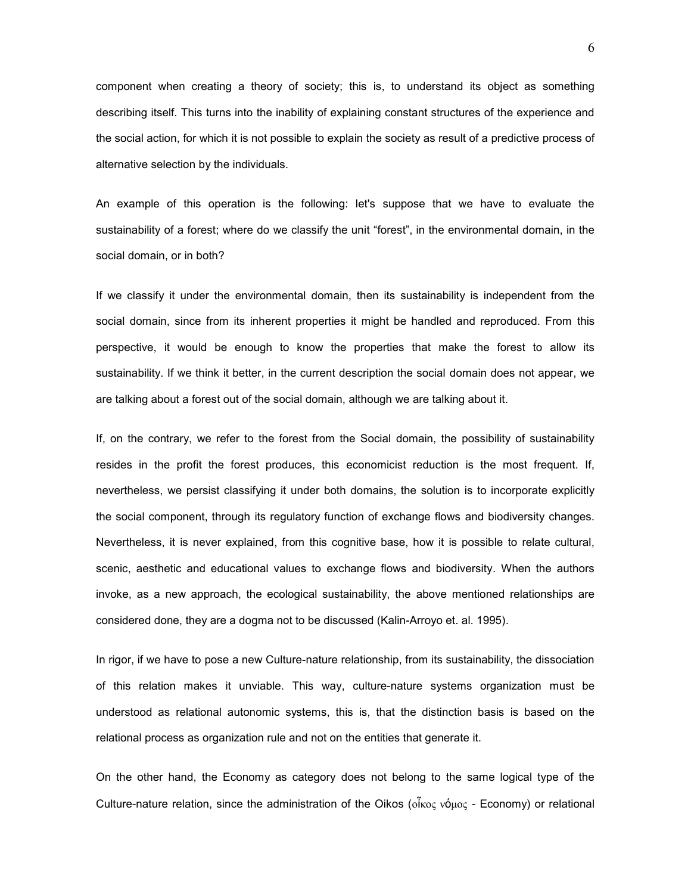component when creating a theory of society; this is, to understand its object as something describing itself. This turns into the inability of explaining constant structures of the experience and the social action, for which it is not possible to explain the society as result of a predictive process of alternative selection by the individuals.

An example of this operation is the following: let's suppose that we have to evaluate the sustainability of a forest; where do we classify the unit "forest", in the environmental domain, in the social domain, or in both?

If we classify it under the environmental domain, then its sustainability is independent from the social domain, since from its inherent properties it might be handled and reproduced. From this perspective, it would be enough to know the properties that make the forest to allow its sustainability. If we think it better, in the current description the social domain does not appear, we are talking about a forest out of the social domain, although we are talking about it.

If, on the contrary, we refer to the forest from the Social domain, the possibility of sustainability resides in the profit the forest produces, this economicist reduction is the most frequent. If, nevertheless, we persist classifying it under both domains, the solution is to incorporate explicitly the social component, through its regulatory function of exchange flows and biodiversity changes. Nevertheless, it is never explained, from this cognitive base, how it is possible to relate cultural, scenic, aesthetic and educational values to exchange flows and biodiversity. When the authors invoke, as a new approach, the ecological sustainability, the above mentioned relationships are considered done, they are a dogma not to be discussed (Kalin-Arroyo et. al. 1995).

In rigor, if we have to pose a new Culture-nature relationship, from its sustainability, the dissociation of this relation makes it unviable. This way, culture-nature systems organization must be understood as relational autonomic systems, this is, that the distinction basis is based on the relational process as organization rule and not on the entities that generate it.

On the other hand, the Economy as category does not belong to the same logical type of the Culture-nature relation, since the administration of the Oikos (οἶκος νόμος - Economy) or relational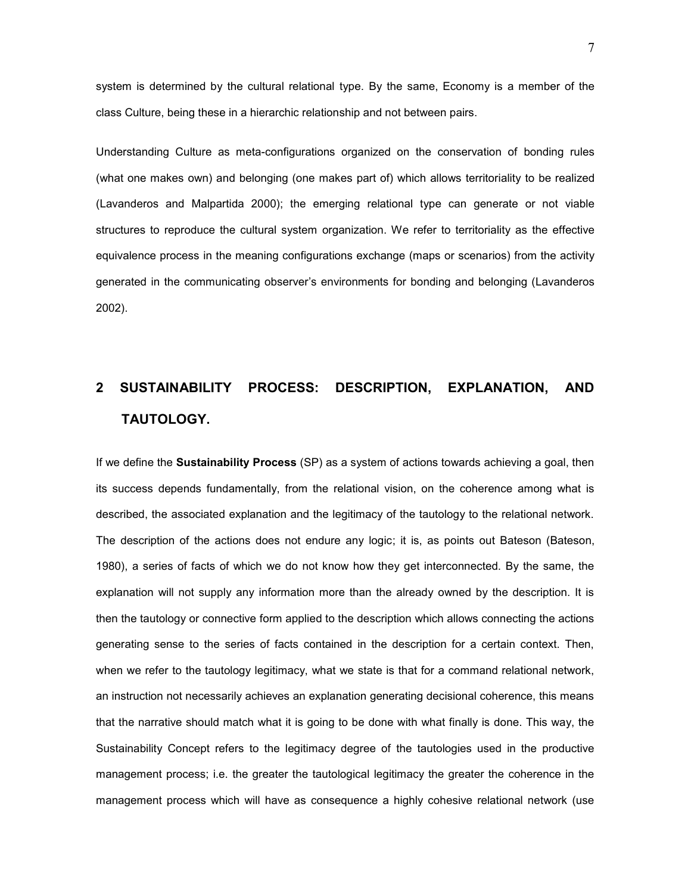system is determined by the cultural relational type. By the same, Economy is a member of the class Culture, being these in a hierarchic relationship and not between pairs.

Understanding Culture as meta-configurations organized on the conservation of bonding rules (what one makes own) and belonging (one makes part of) which allows territoriality to be realized (Lavanderos and Malpartida 2000); the emerging relational type can generate or not viable structures to reproduce the cultural system organization. We refer to territoriality as the effective equivalence process in the meaning configurations exchange (maps or scenarios) from the activity generated in the communicating observer's environments for bonding and belonging (Lavanderos 2002).

# **2 SUSTAINABILITY PROCESS: DESCRIPTION, EXPLANATION, AND TAUTOLOGY.**

If we define the **Sustainability Process** (SP) as a system of actions towards achieving a goal, then its success depends fundamentally, from the relational vision, on the coherence among what is described, the associated explanation and the legitimacy of the tautology to the relational network. The description of the actions does not endure any logic; it is, as points out Bateson (Bateson, 1980), a series of facts of which we do not know how they get interconnected. By the same, the explanation will not supply any information more than the already owned by the description. It is then the tautology or connective form applied to the description which allows connecting the actions generating sense to the series of facts contained in the description for a certain context. Then, when we refer to the tautology legitimacy, what we state is that for a command relational network, an instruction not necessarily achieves an explanation generating decisional coherence, this means that the narrative should match what it is going to be done with what finally is done. This way, the Sustainability Concept refers to the legitimacy degree of the tautologies used in the productive management process; i.e. the greater the tautological legitimacy the greater the coherence in the management process which will have as consequence a highly cohesive relational network (use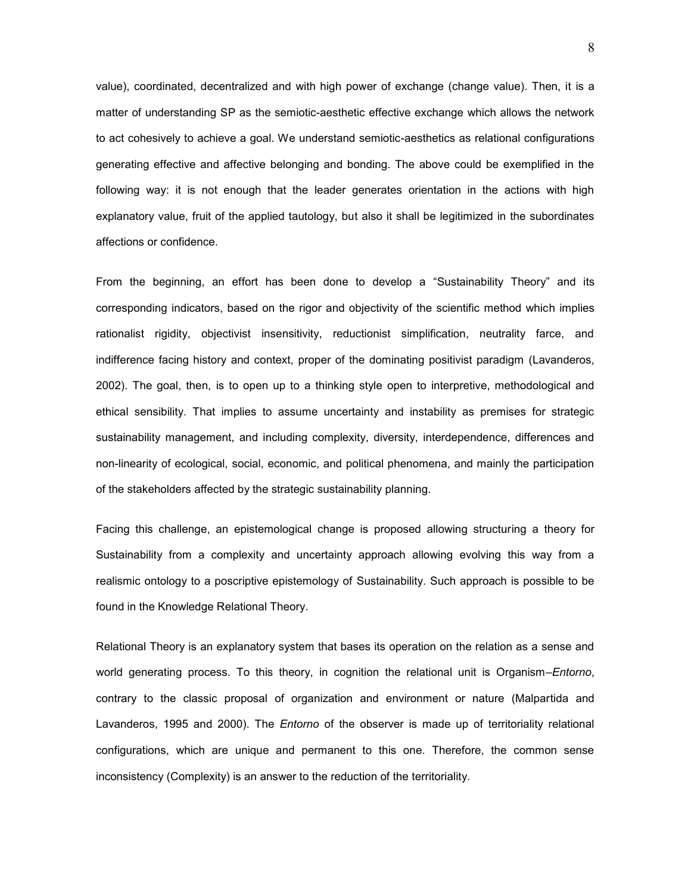value), coordinated, decentralized and with high power of exchange (change value). Then, it is a matter of understanding SP as the semiotic-aesthetic effective exchange which allows the network to act cohesively to achieve a goal. We understand semiotic-aesthetics as relational configurations generating effective and affective belonging and bonding. The above could be exemplified in the following way: it is not enough that the leader generates orientation in the actions with high explanatory value, fruit of the applied tautology, but also it shall be legitimized in the subordinates affections or confidence.

From the beginning, an effort has been done to develop a "Sustainability Theory" and its corresponding indicators, based on the rigor and objectivity of the scientific method which implies rationalist rigidity, objectivist insensitivity, reductionist simplification, neutrality farce, and indifference facing history and context, proper of the dominating positivist paradigm (Lavanderos, 2002). The goal, then, is to open up to a thinking style open to interpretive, methodological and ethical sensibility. That implies to assume uncertainty and instability as premises for strategic sustainability management, and including complexity, diversity, interdependence, differences and non-linearity of ecological, social, economic, and political phenomena, and mainly the participation of the stakeholders affected by the strategic sustainability planning.

Facing this challenge, an epistemological change is proposed allowing structuring a theory for Sustainability from a complexity and uncertainty approach allowing evolving this way from a realismic ontology to a poscriptive epistemology of Sustainability. Such approach is possible to be found in the Knowledge Relational Theory.

Relational Theory is an explanatory system that bases its operation on the relation as a sense and world generating process. To this theory, in cognition the relational unit is Organism–*Entorno*, contrary to the classic proposal of organization and environment or nature (Malpartida and Lavanderos, 1995 and 2000). The *Entorno* of the observer is made up of territoriality relational configurations, which are unique and permanent to this one. Therefore, the common sense inconsistency (Complexity) is an answer to the reduction of the territoriality.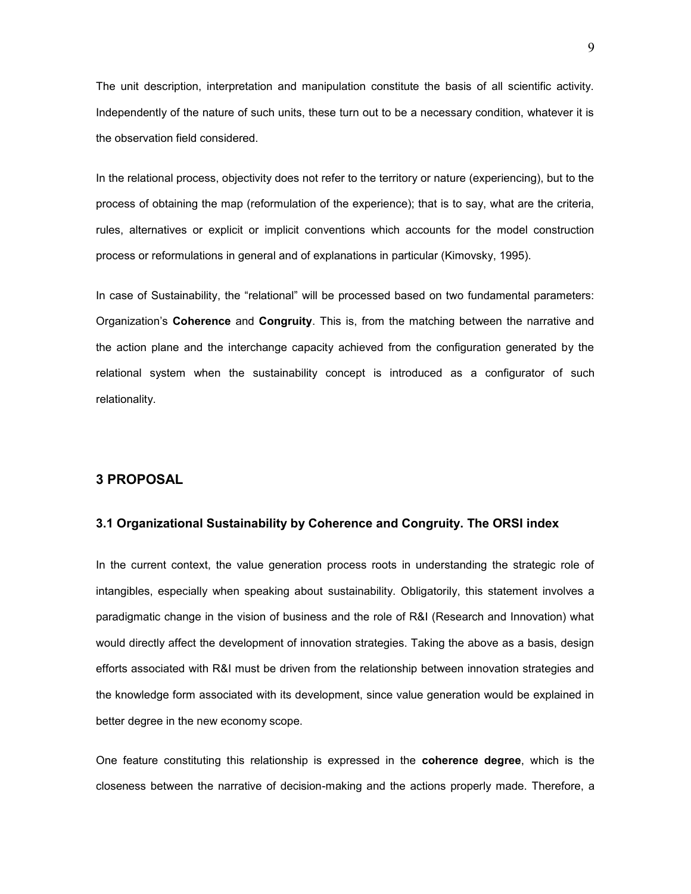The unit description, interpretation and manipulation constitute the basis of all scientific activity. Independently of the nature of such units, these turn out to be a necessary condition, whatever it is the observation field considered.

In the relational process, objectivity does not refer to the territory or nature (experiencing), but to the process of obtaining the map (reformulation of the experience); that is to say, what are the criteria, rules, alternatives or explicit or implicit conventions which accounts for the model construction process or reformulations in general and of explanations in particular (Kimovsky, 1995).

In case of Sustainability, the "relational" will be processed based on two fundamental parameters: Organization's **Coherence** and **Congruity**. This is, from the matching between the narrative and the action plane and the interchange capacity achieved from the configuration generated by the relational system when the sustainability concept is introduced as a configurator of such relationality.

## **3 PROPOSAL**

#### **3.1 Organizational Sustainability by Coherence and Congruity. The ORSI index**

In the current context, the value generation process roots in understanding the strategic role of intangibles, especially when speaking about sustainability. Obligatorily, this statement involves a paradigmatic change in the vision of business and the role of R&I (Research and Innovation) what would directly affect the development of innovation strategies. Taking the above as a basis, design efforts associated with R&I must be driven from the relationship between innovation strategies and the knowledge form associated with its development, since value generation would be explained in better degree in the new economy scope.

One feature constituting this relationship is expressed in the **coherence degree**, which is the closeness between the narrative of decision-making and the actions properly made. Therefore, a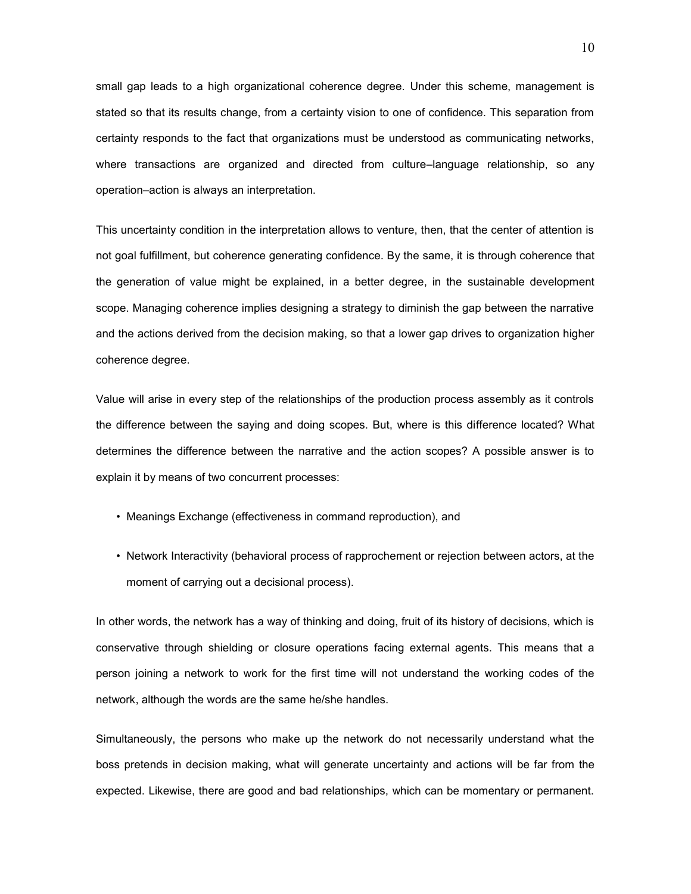small gap leads to a high organizational coherence degree. Under this scheme, management is stated so that its results change, from a certainty vision to one of confidence. This separation from certainty responds to the fact that organizations must be understood as communicating networks, where transactions are organized and directed from culture–language relationship, so any operation–action is always an interpretation.

This uncertainty condition in the interpretation allows to venture, then, that the center of attention is not goal fulfillment, but coherence generating confidence. By the same, it is through coherence that the generation of value might be explained, in a better degree, in the sustainable development scope. Managing coherence implies designing a strategy to diminish the gap between the narrative and the actions derived from the decision making, so that a lower gap drives to organization higher coherence degree.

Value will arise in every step of the relationships of the production process assembly as it controls the difference between the saying and doing scopes. But, where is this difference located? What determines the difference between the narrative and the action scopes? A possible answer is to explain it by means of two concurrent processes:

- Meanings Exchange (effectiveness in command reproduction), and
- Network Interactivity (behavioral process of rapprochement or rejection between actors, at the moment of carrying out a decisional process).

In other words, the network has a way of thinking and doing, fruit of its history of decisions, which is conservative through shielding or closure operations facing external agents. This means that a person joining a network to work for the first time will not understand the working codes of the network, although the words are the same he/she handles.

Simultaneously, the persons who make up the network do not necessarily understand what the boss pretends in decision making, what will generate uncertainty and actions will be far from the expected. Likewise, there are good and bad relationships, which can be momentary or permanent.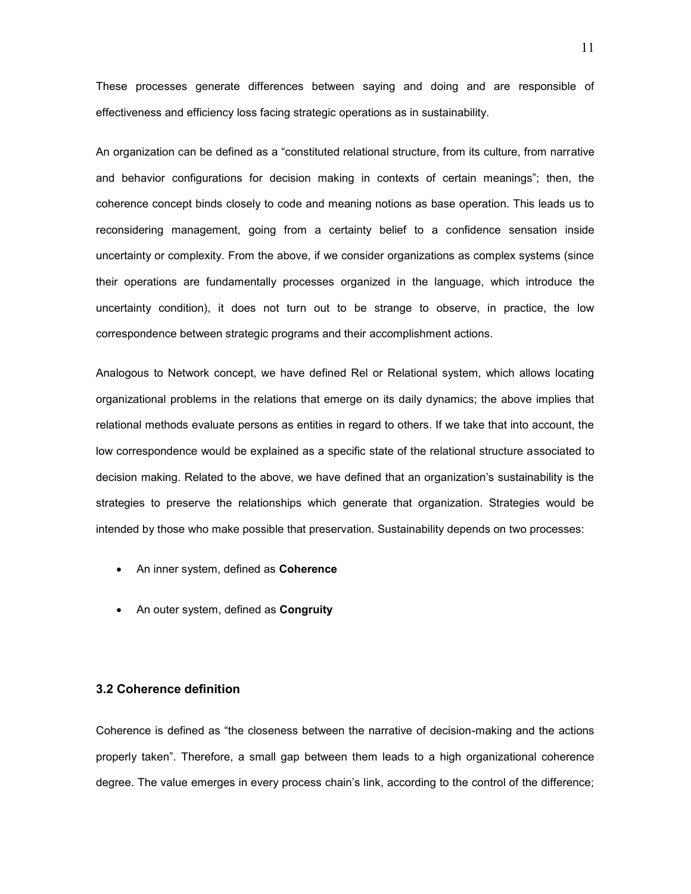These processes generate differences between saying and doing and are responsible of effectiveness and efficiency loss facing strategic operations as in sustainability.

An organization can be defined as a "constituted relational structure, from its culture, from narrative and behavior configurations for decision making in contexts of certain meanings"; then, the coherence concept binds closely to code and meaning notions as base operation. This leads us to reconsidering management, going from a certainty belief to a confidence sensation inside uncertainty or complexity. From the above, if we consider organizations as complex systems (since their operations are fundamentally processes organized in the language, which introduce the uncertainty condition), it does not turn out to be strange to observe, in practice, the low correspondence between strategic programs and their accomplishment actions.

Analogous to Network concept, we have defined Rel or Relational system, which allows locating organizational problems in the relations that emerge on its daily dynamics; the above implies that relational methods evaluate persons as entities in regard to others. If we take that into account, the low correspondence would be explained as a specific state of the relational structure associated to decision making. Related to the above, we have defined that an organization's sustainability is the strategies to preserve the relationships which generate that organization. Strategies would be intended by those who make possible that preservation. Sustainability depends on two processes:

- An inner system, defined as **Coherence**
- An outer system, defined as **Congruity**

#### **3.2 Coherence definition**

Coherence is defined as "the closeness between the narrative of decision-making and the actions properly taken". Therefore, a small gap between them leads to a high organizational coherence degree. The value emerges in every process chain's link, according to the control of the difference;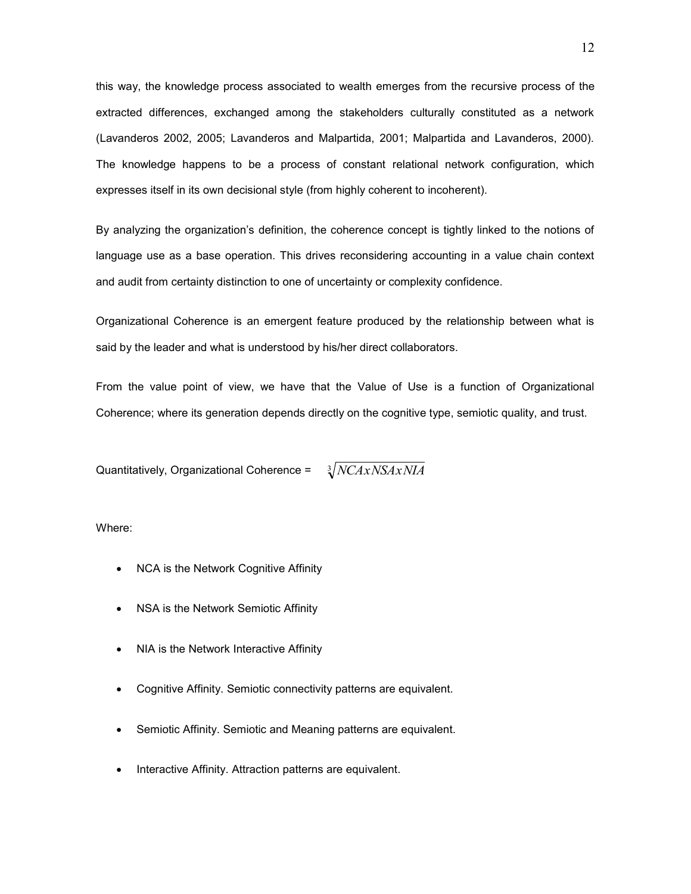this way, the knowledge process associated to wealth emerges from the recursive process of the extracted differences, exchanged among the stakeholders culturally constituted as a network (Lavanderos 2002, 2005; Lavanderos and Malpartida, 2001; Malpartida and Lavanderos, 2000). The knowledge happens to be a process of constant relational network configuration, which expresses itself in its own decisional style (from highly coherent to incoherent).

By analyzing the organization's definition, the coherence concept is tightly linked to the notions of language use as a base operation. This drives reconsidering accounting in a value chain context and audit from certainty distinction to one of uncertainty or complexity confidence.

Organizational Coherence is an emergent feature produced by the relationship between what is said by the leader and what is understood by his/her direct collaborators.

From the value point of view, we have that the Value of Use is a function of Organizational Coherence; where its generation depends directly on the cognitive type, semiotic quality, and trust.

Quantitatively, Organizational Coherence =  $\sqrt{NCAxNSAxNIA}$ 

Where:

- NCA is the Network Cognitive Affinity
- NSA is the Network Semiotic Affinity
- NIA is the Network Interactive Affinity
- Cognitive Affinity. Semiotic connectivity patterns are equivalent.
- Semiotic Affinity. Semiotic and Meaning patterns are equivalent.
- Interactive Affinity. Attraction patterns are equivalent.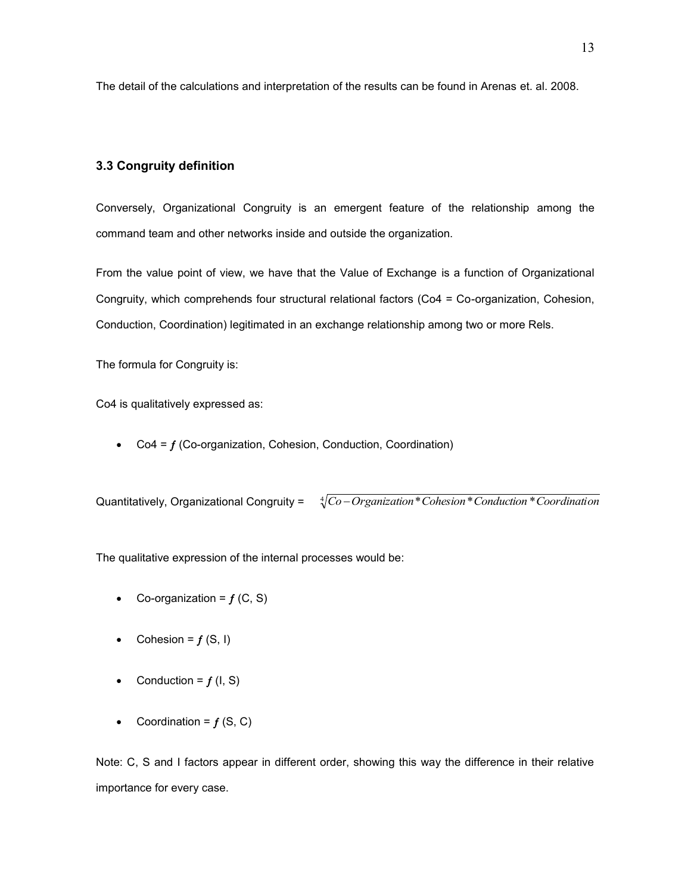The detail of the calculations and interpretation of the results can be found in Arenas et. al. 2008.

#### **3.3 Congruity definition**

Conversely, Organizational Congruity is an emergent feature of the relationship among the command team and other networks inside and outside the organization.

From the value point of view, we have that the Value of Exchange is a function of Organizational Congruity, which comprehends four structural relational factors (Co4 = Co-organization, Cohesion, Conduction, Coordination) legitimated in an exchange relationship among two or more Rels.

The formula for Congruity is:

Co4 is qualitatively expressed as:

 $\bullet$  Co4 =  $f$  (Co-organization, Cohesion, Conduction, Coordination)

Quantitatively, Organizational Congruity =  $\sqrt[4]{Co-Organization*Cohesion*Conduction*Coordination}$ 

The qualitative expression of the internal processes would be:

- Co-organization =  $f(G, S)$
- Cohesion =  $f(S, I)$
- Conduction =  $f(I, S)$
- Coordination =  $f(S, C)$

Note: C, S and I factors appear in different order, showing this way the difference in their relative importance for every case.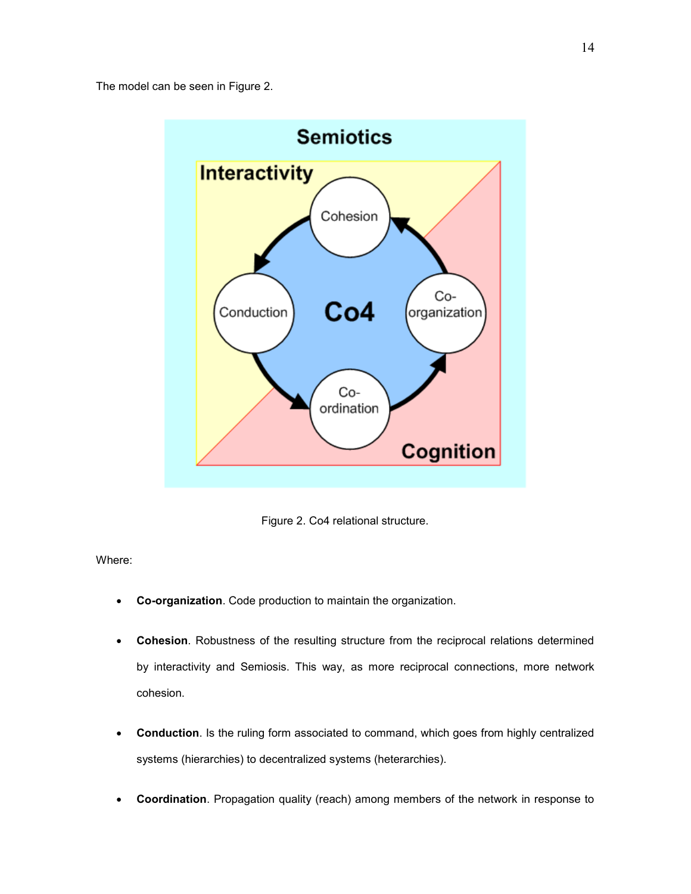The model can be seen in Figure 2.



Figure 2. Co4 relational structure.

Where:

- **Co-organization**. Code production to maintain the organization.
- **Cohesion**. Robustness of the resulting structure from the reciprocal relations determined by interactivity and Semiosis. This way, as more reciprocal connections, more network cohesion.
- **Conduction**. Is the ruling form associated to command, which goes from highly centralized systems (hierarchies) to decentralized systems (heterarchies).
- **Coordination**. Propagation quality (reach) among members of the network in response to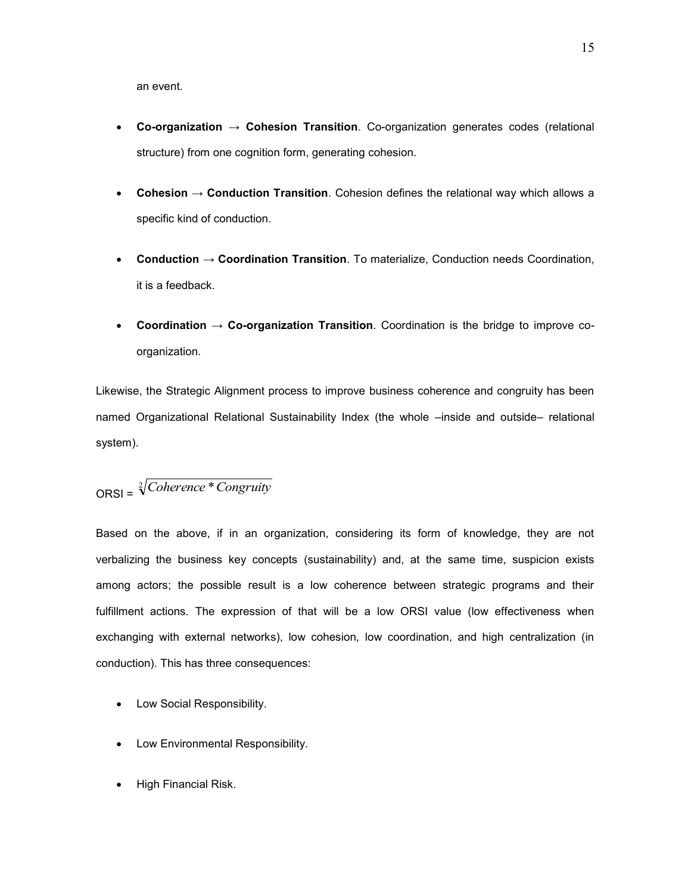an event.

- **Co-organization → Cohesion Transition**. Co-organization generates codes (relational structure) from one cognition form, generating cohesion.
- **Cohesion → Conduction Transition**. Cohesion defines the relational way which allows a specific kind of conduction.
- **Conduction → Coordination Transition**. To materialize, Conduction needs Coordination, it is a feedback.
- **Coordination → Co-organization Transition**. Coordination is the bridge to improve coorganization.

Likewise, the Strategic Alignment process to improve business coherence and congruity has been named Organizational Relational Sustainability Index (the whole –inside and outside– relational system).

$$
ORSI = \sqrt[2]{Cokerence * Congruity}
$$

Based on the above, if in an organization, considering its form of knowledge, they are not verbalizing the business key concepts (sustainability) and, at the same time, suspicion exists among actors; the possible result is a low coherence between strategic programs and their fulfillment actions. The expression of that will be a low ORSI value (low effectiveness when exchanging with external networks), low cohesion, low coordination, and high centralization (in conduction). This has three consequences:

- Low Social Responsibility.
- Low Environmental Responsibility.
- High Financial Risk.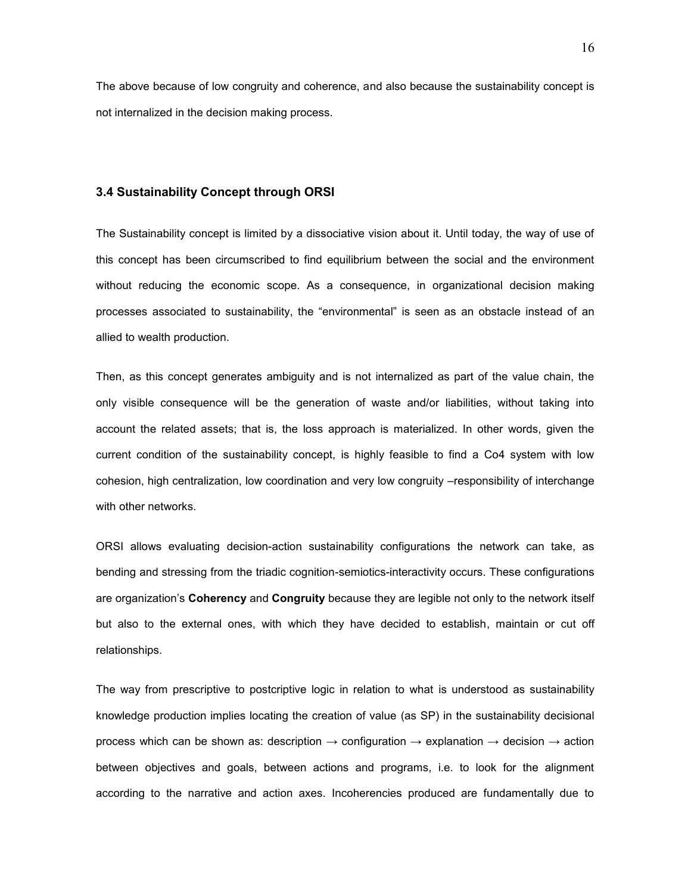The above because of low congruity and coherence, and also because the sustainability concept is not internalized in the decision making process.

#### **3.4 Sustainability Concept through ORSI**

The Sustainability concept is limited by a dissociative vision about it. Until today, the way of use of this concept has been circumscribed to find equilibrium between the social and the environment without reducing the economic scope. As a consequence, in organizational decision making processes associated to sustainability, the "environmental" is seen as an obstacle instead of an allied to wealth production.

Then, as this concept generates ambiguity and is not internalized as part of the value chain, the only visible consequence will be the generation of waste and/or liabilities, without taking into account the related assets; that is, the loss approach is materialized. In other words, given the current condition of the sustainability concept, is highly feasible to find a Co4 system with low cohesion, high centralization, low coordination and very low congruity –responsibility of interchange with other networks.

ORSI allows evaluating decision-action sustainability configurations the network can take, as bending and stressing from the triadic cognition-semiotics-interactivity occurs. These configurations are organization's **Coherency** and **Congruity** because they are legible not only to the network itself but also to the external ones, with which they have decided to establish, maintain or cut off relationships.

The way from prescriptive to postcriptive logic in relation to what is understood as sustainability knowledge production implies locating the creation of value (as SP) in the sustainability decisional process which can be shown as: description  $\rightarrow$  configuration  $\rightarrow$  explanation  $\rightarrow$  decision  $\rightarrow$  action between objectives and goals, between actions and programs, i.e. to look for the alignment according to the narrative and action axes. Incoherencies produced are fundamentally due to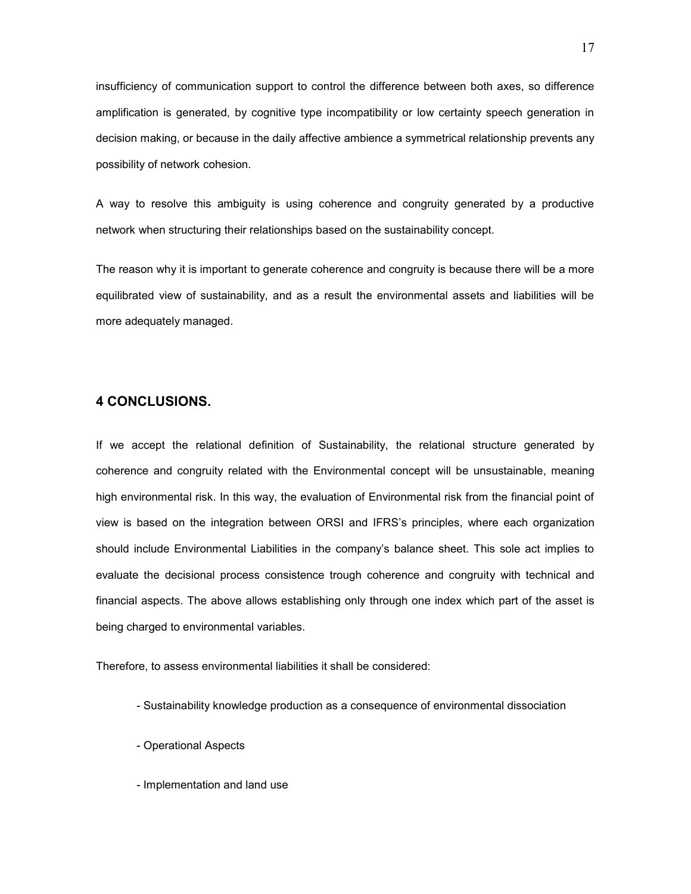insufficiency of communication support to control the difference between both axes, so difference amplification is generated, by cognitive type incompatibility or low certainty speech generation in decision making, or because in the daily affective ambience a symmetrical relationship prevents any possibility of network cohesion.

A way to resolve this ambiguity is using coherence and congruity generated by a productive network when structuring their relationships based on the sustainability concept.

The reason why it is important to generate coherence and congruity is because there will be a more equilibrated view of sustainability, and as a result the environmental assets and liabilities will be more adequately managed.

## **4 CONCLUSIONS.**

If we accept the relational definition of Sustainability, the relational structure generated by coherence and congruity related with the Environmental concept will be unsustainable, meaning high environmental risk. In this way, the evaluation of Environmental risk from the financial point of view is based on the integration between ORSI and IFRS's principles, where each organization should include Environmental Liabilities in the company's balance sheet. This sole act implies to evaluate the decisional process consistence trough coherence and congruity with technical and financial aspects. The above allows establishing only through one index which part of the asset is being charged to environmental variables.

Therefore, to assess environmental liabilities it shall be considered:

- Sustainability knowledge production as a consequence of environmental dissociation
- Operational Aspects
- Implementation and land use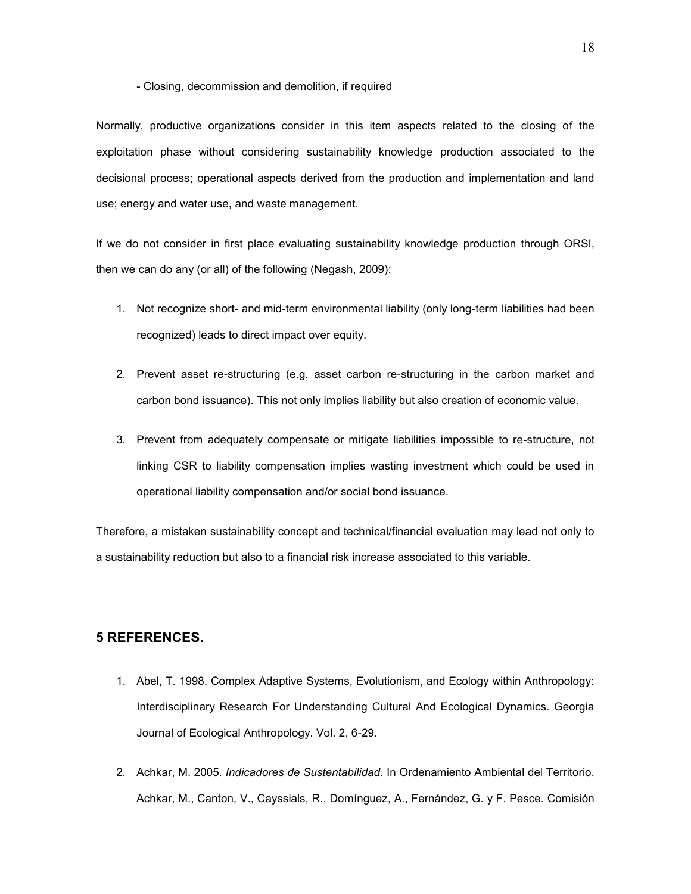#### - Closing, decommission and demolition, if required

Normally, productive organizations consider in this item aspects related to the closing of the exploitation phase without considering sustainability knowledge production associated to the decisional process; operational aspects derived from the production and implementation and land use; energy and water use, and waste management.

If we do not consider in first place evaluating sustainability knowledge production through ORSI, then we can do any (or all) of the following (Negash, 2009):

- 1. Not recognize short- and mid-term environmental liability (only long-term liabilities had been recognized) leads to direct impact over equity.
- 2. Prevent asset re-structuring (e.g. asset carbon re-structuring in the carbon market and carbon bond issuance). This not only implies liability but also creation of economic value.
- 3. Prevent from adequately compensate or mitigate liabilities impossible to re-structure, not linking CSR to liability compensation implies wasting investment which could be used in operational liability compensation and/or social bond issuance.

Therefore, a mistaken sustainability concept and technical/financial evaluation may lead not only to a sustainability reduction but also to a financial risk increase associated to this variable.

#### **5 REFERENCES.**

- 1. Abel, T. 1998. Complex Adaptive Systems, Evolutionism, and Ecology within Anthropology: Interdisciplinary Research For Understanding Cultural And Ecological Dynamics. Georgia Journal of Ecological Anthropology. Vol. 2, 6-29.
- 2. Achkar, M. 2005. *Indicadores de Sustentabilidad*. In Ordenamiento Ambiental del Territorio. Achkar, M., Canton, V., Cayssials, R., Domínguez, A., Fernández, G. y F. Pesce. Comisión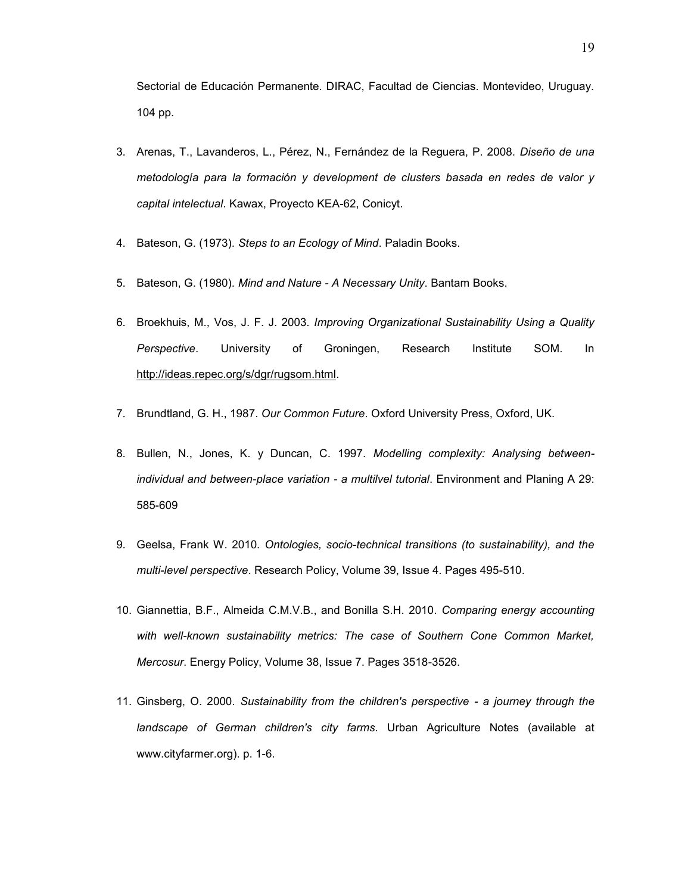Sectorial de Educación Permanente. DIRAC, Facultad de Ciencias. Montevideo, Uruguay. 104 pp.

- 3. Arenas, T., Lavanderos, L., Pérez, N., Fernández de la Reguera, P. 2008. *Diseño de una metodología para la formación y development de clusters basada en redes de valor y capital intelectual*. Kawax, Proyecto KEA-62, Conicyt.
- 4. Bateson, G. (1973). *Steps to an Ecology of Mind*. Paladin Books.
- 5. Bateson, G. (1980). *Mind and Nature - A Necessary Unity*. Bantam Books.
- 6. Broekhuis, M., Vos, J. F. J. 2003. *Improving Organizational Sustainability Using a Quality Perspective*. University of Groningen, Research Institute SOM. In [http://ideas.repec.org/s/dgr/rugsom.html.](http://ideas.repec.org/s/dgr/rugsom.html)
- 7. Brundtland, G. H., 1987. *Our Common Future*. Oxford University Press, Oxford, UK.
- 8. Bullen, N., Jones, K. y Duncan, C. 1997. *Modelling complexity: Analysing betweenindividual and between-place variation - a multilvel tutorial*. Environment and Planing A 29: 585-609
- 9. Geelsa, Frank W. 2010. *Ontologies, socio-technical transitions (to sustainability), and the multi-level perspective*. Research Policy, Volume 39, Issue 4. Pages 495-510.
- 10. Giannettia, B.F., Almeida C.M.V.B., and Bonilla S.H. 2010. *Comparing energy accounting*  with well-known sustainability metrics: The case of Southern Cone Common Market, *Mercosur*. Energy Policy, Volume 38, Issue 7. Pages 3518-3526.
- 11. Ginsberg, O. 2000. *Sustainability from the children's perspective - a journey through the landscape of German children's city farms*. Urban Agriculture Notes (available at www.cityfarmer.org). p. 1-6.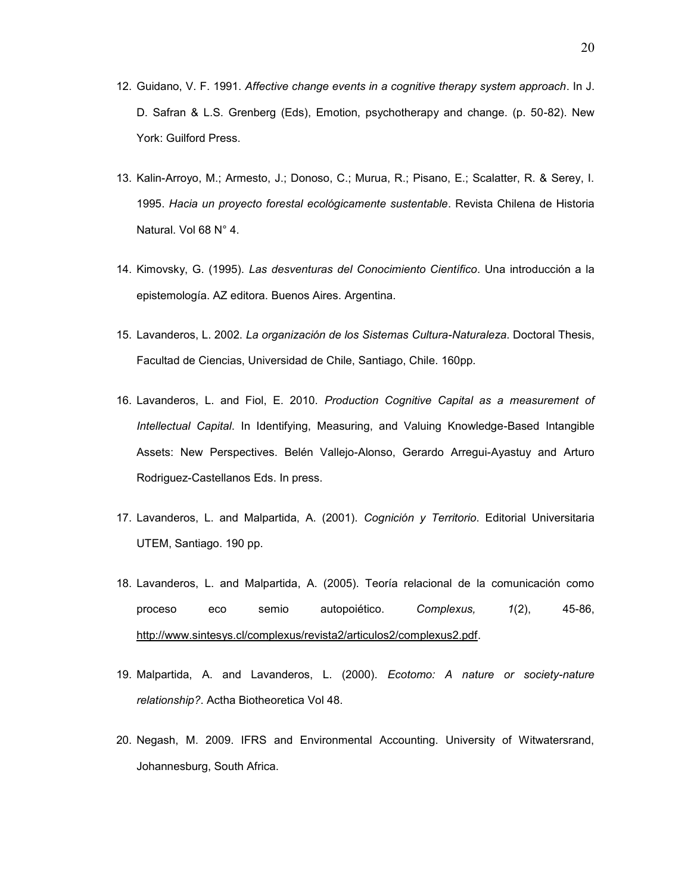- 12. Guidano, V. F. 1991. *Affective change events in a cognitive therapy system approach*. In J. D. Safran & L.S. Grenberg (Eds), Emotion, psychotherapy and change. (p. 50-82). New York: Guilford Press.
- 13. Kalin-Arroyo, M.; Armesto, J.; Donoso, C.; Murua, R.; Pisano, E.; Scalatter, R. & Serey, I. 1995. *Hacia un proyecto forestal ecológicamente sustentable*. Revista Chilena de Historia Natural. Vol 68 N° 4.
- 14. Kimovsky, G. (1995). *Las desventuras del Conocimiento Científico*. Una introducción a la epistemología. AZ editora. Buenos Aires. Argentina.
- 15. Lavanderos, L. 2002. *La organización de los Sistemas Cultura-Naturaleza*. Doctoral Thesis, Facultad de Ciencias, Universidad de Chile, Santiago, Chile. 160pp.
- 16. Lavanderos, L. and Fiol, E. 2010. *Production Cognitive Capital as a measurement of Intellectual Capital*. In Identifying, Measuring, and Valuing Knowledge-Based Intangible Assets: New Perspectives. Belén Vallejo-Alonso, Gerardo Arregui-Ayastuy and Arturo Rodriguez-Castellanos Eds. In press.
- 17. Lavanderos, L. and Malpartida, A. (2001). *Cognición y Territorio*. Editorial Universitaria UTEM, Santiago. 190 pp.
- 18. Lavanderos, L. and Malpartida, A. (2005). Teoría relacional de la comunicación como proceso eco semio autopoiético. *Complexus, 1*(2), 45-86, [http://www.sintesys.cl/complexus/revista2/articulos2/complexus2.pdf.](http://www.sintesys.cl/complexus/revista2/articulos2/complexus2.pdf)
- 19. Malpartida, A. and Lavanderos, L. (2000). *Ecotomo: A nature or society-nature relationship?*. Actha Biotheoretica Vol 48.
- 20. Negash, M. 2009. IFRS and Environmental Accounting. University of Witwatersrand, Johannesburg, South Africa.